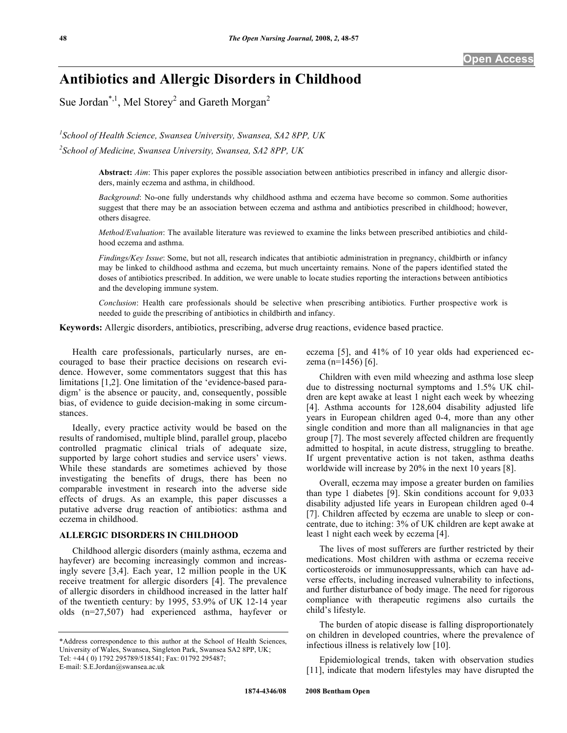# **Antibiotics and Allergic Disorders in Childhood**

Sue Jordan<sup>\*,1</sup>, Mel Storey<sup>2</sup> and Gareth Morgan<sup>2</sup>

*1 School of Health Science, Swansea University, Swansea, SA2 8PP, UK* 

*2 School of Medicine, Swansea University, Swansea, SA2 8PP, UK* 

**Abstract:** *Aim*: This paper explores the possible association between antibiotics prescribed in infancy and allergic disorders, mainly eczema and asthma, in childhood.

*Background*: No-one fully understands why childhood asthma and eczema have become so common. Some authorities suggest that there may be an association between eczema and asthma and antibiotics prescribed in childhood; however, others disagree.

*Method/Evaluation*: The available literature was reviewed to examine the links between prescribed antibiotics and childhood eczema and asthma.

*Findings/Key Issue*: Some, but not all, research indicates that antibiotic administration in pregnancy, childbirth or infancy may be linked to childhood asthma and eczema, but much uncertainty remains. None of the papers identified stated the doses of antibiotics prescribed. In addition, we were unable to locate studies reporting the interactions between antibiotics and the developing immune system.

*Conclusion*: Health care professionals should be selective when prescribing antibiotics. Further prospective work is needed to guide the prescribing of antibiotics in childbirth and infancy.

**Keywords:** Allergic disorders, antibiotics, prescribing, adverse drug reactions, evidence based practice.

 Health care professionals, particularly nurses, are encouraged to base their practice decisions on research evidence. However, some commentators suggest that this has limitations [1,2]. One limitation of the 'evidence-based paradigm' is the absence or paucity, and, consequently, possible bias, of evidence to guide decision-making in some circumstances.

 Ideally, every practice activity would be based on the results of randomised, multiple blind, parallel group, placebo controlled pragmatic clinical trials of adequate size, supported by large cohort studies and service users' views. While these standards are sometimes achieved by those investigating the benefits of drugs, there has been no comparable investment in research into the adverse side effects of drugs. As an example, this paper discusses a putative adverse drug reaction of antibiotics: asthma and eczema in childhood.

## **ALLERGIC DISORDERS IN CHILDHOOD**

 Childhood allergic disorders (mainly asthma, eczema and hayfever) are becoming increasingly common and increasingly severe [3,4]. Each year, 12 million people in the UK receive treatment for allergic disorders [4]. The prevalence of allergic disorders in childhood increased in the latter half of the twentieth century: by 1995, 53.9% of UK 12-14 year olds (n=27,507) had experienced asthma, hayfever or eczema [5], and 41% of 10 year olds had experienced eczema (n=1456) [6].

 Children with even mild wheezing and asthma lose sleep due to distressing nocturnal symptoms and 1.5% UK children are kept awake at least 1 night each week by wheezing [4]. Asthma accounts for 128,604 disability adjusted life years in European children aged 0-4, more than any other single condition and more than all malignancies in that age group [7]. The most severely affected children are frequently admitted to hospital, in acute distress, struggling to breathe. If urgent preventative action is not taken, asthma deaths worldwide will increase by 20% in the next 10 years [8].

 Overall, eczema may impose a greater burden on families than type 1 diabetes [9]. Skin conditions account for 9,033 disability adjusted life years in European children aged 0-4 [7]. Children affected by eczema are unable to sleep or concentrate, due to itching: 3% of UK children are kept awake at least 1 night each week by eczema [4].

 The lives of most sufferers are further restricted by their medications. Most children with asthma or eczema receive corticosteroids or immunosuppressants, which can have adverse effects, including increased vulnerability to infections, and further disturbance of body image. The need for rigorous compliance with therapeutic regimens also curtails the child's lifestyle.

 The burden of atopic disease is falling disproportionately on children in developed countries, where the prevalence of infectious illness is relatively low [10].

 Epidemiological trends, taken with observation studies [11], indicate that modern lifestyles may have disrupted the

<sup>\*</sup>Address correspondence to this author at the School of Health Sciences, University of Wales, Swansea, Singleton Park, Swansea SA2 8PP, UK; Tel: +44 ( 0) 1792 295789/518541; Fax: 01792 295487; E-mail: S.E.Jordan@swansea.ac.uk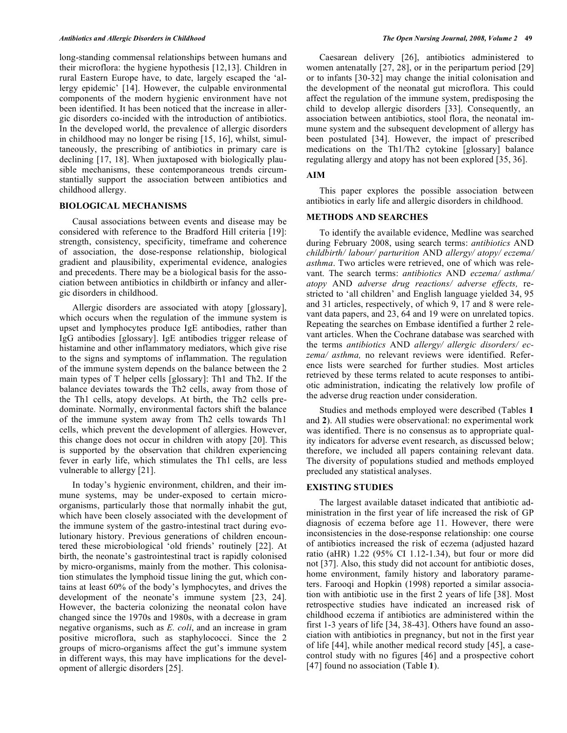long-standing commensal relationships between humans and their microflora: the hygiene hypothesis [12,13]. Children in rural Eastern Europe have, to date, largely escaped the 'allergy epidemic' [14]. However, the culpable environmental components of the modern hygienic environment have not been identified. It has been noticed that the increase in allergic disorders co-incided with the introduction of antibiotics. In the developed world, the prevalence of allergic disorders in childhood may no longer be rising [15, 16], whilst, simultaneously, the prescribing of antibiotics in primary care is declining [17, 18]. When juxtaposed with biologically plausible mechanisms, these contemporaneous trends circumstantially support the association between antibiotics and childhood allergy.

#### **BIOLOGICAL MECHANISMS**

 Causal associations between events and disease may be considered with reference to the Bradford Hill criteria [19]: strength, consistency, specificity, timeframe and coherence of association, the dose-response relationship, biological gradient and plausibility, experimental evidence, analogies and precedents. There may be a biological basis for the association between antibiotics in childbirth or infancy and allergic disorders in childhood.

 Allergic disorders are associated with atopy [glossary], which occurs when the regulation of the immune system is upset and lymphocytes produce IgE antibodies, rather than IgG antibodies [glossary]. IgE antibodies trigger release of histamine and other inflammatory mediators, which give rise to the signs and symptoms of inflammation. The regulation of the immune system depends on the balance between the 2 main types of T helper cells [glossary]: Th1 and Th2. If the balance deviates towards the Th2 cells, away from those of the Th1 cells, atopy develops. At birth, the Th2 cells predominate. Normally, environmental factors shift the balance of the immune system away from Th2 cells towards Th1 cells, which prevent the development of allergies. However, this change does not occur in children with atopy [20]. This is supported by the observation that children experiencing fever in early life, which stimulates the Th1 cells, are less vulnerable to allergy [21].

 In today's hygienic environment, children, and their immune systems, may be under-exposed to certain microorganisms, particularly those that normally inhabit the gut, which have been closely associated with the development of the immune system of the gastro-intestinal tract during evolutionary history. Previous generations of children encountered these microbiological 'old friends' routinely [22]. At birth, the neonate's gastrointestinal tract is rapidly colonised by micro-organisms, mainly from the mother. This colonisation stimulates the lymphoid tissue lining the gut, which contains at least 60% of the body's lymphocytes, and drives the development of the neonate's immune system [23, 24]. However, the bacteria colonizing the neonatal colon have changed since the 1970s and 1980s, with a decrease in gram negative organisms, such as *E. coli*, and an increase in gram positive microflora, such as staphylococci. Since the 2 groups of micro-organisms affect the gut's immune system in different ways, this may have implications for the development of allergic disorders [25].

 Caesarean delivery [26], antibiotics administered to women antenatally [27, 28], or in the peripartum period [29] or to infants [30-32] may change the initial colonisation and the development of the neonatal gut microflora. This could affect the regulation of the immune system, predisposing the child to develop allergic disorders [33]. Consequently, an association between antibiotics, stool flora, the neonatal immune system and the subsequent development of allergy has been postulated [34]. However, the impact of prescribed medications on the Th1/Th2 cytokine [glossary] balance regulating allergy and atopy has not been explored [35, 36].

#### **AIM**

 This paper explores the possible association between antibiotics in early life and allergic disorders in childhood.

#### **METHODS AND SEARCHES**

 To identify the available evidence, Medline was searched during February 2008, using search terms: *antibiotics* AND *childbirth/ labour/ parturition* AND *allergy/ atopy/ eczema/ asthma*. Two articles were retrieved, one of which was relevant. The search terms: *antibiotics* AND *eczema/ asthma/ atopy* AND *adverse drug reactions/ adverse effects,* restricted to 'all children' and English language yielded 34, 95 and 31 articles, respectively, of which 9, 17 and 8 were relevant data papers, and 23, 64 and 19 were on unrelated topics. Repeating the searches on Embase identified a further 2 relevant articles. When the Cochrane database was searched with the terms *antibiotics* AND *allergy/ allergic disorders/ eczema/ asthma,* no relevant reviews were identified. Reference lists were searched for further studies. Most articles retrieved by these terms related to acute responses to antibiotic administration, indicating the relatively low profile of the adverse drug reaction under consideration.

 Studies and methods employed were described (Tables **1** and **2**). All studies were observational: no experimental work was identified. There is no consensus as to appropriate quality indicators for adverse event research, as discussed below; therefore, we included all papers containing relevant data. The diversity of populations studied and methods employed precluded any statistical analyses.

#### **EXISTING STUDIES**

 The largest available dataset indicated that antibiotic administration in the first year of life increased the risk of GP diagnosis of eczema before age 11. However, there were inconsistencies in the dose-response relationship: one course of antibiotics increased the risk of eczema (adjusted hazard ratio (aHR) 1.22 (95% CI 1.12-1.34), but four or more did not [37]. Also, this study did not account for antibiotic doses, home environment, family history and laboratory parameters. Farooqi and Hopkin (1998) reported a similar association with antibiotic use in the first 2 years of life [38]. Most retrospective studies have indicated an increased risk of childhood eczema if antibiotics are administered within the first 1-3 years of life [34, 38-43]. Others have found an association with antibiotics in pregnancy, but not in the first year of life [44], while another medical record study [45], a casecontrol study with no figures [46] and a prospective cohort [47] found no association (Table **1**).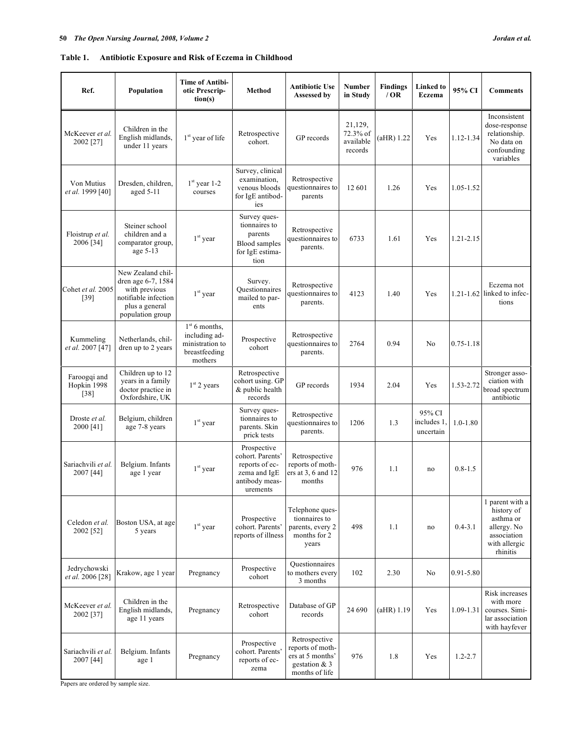# **Table 1. Antibiotic Exposure and Risk of Eczema in Childhood**

| Ref.                                  | Population                                                                                                             | <b>Time of Antibi-</b><br>otic Prescrip-<br>tion(s)                             | Method                                                                                          | <b>Antibiotic Use</b><br>Assessed by                                                       | <b>Number</b><br>in Study                   | <b>Findings</b><br>/OR | Linked to<br><b>Eczema</b>         | 95% CI        | <b>Comments</b>                                                                                       |
|---------------------------------------|------------------------------------------------------------------------------------------------------------------------|---------------------------------------------------------------------------------|-------------------------------------------------------------------------------------------------|--------------------------------------------------------------------------------------------|---------------------------------------------|------------------------|------------------------------------|---------------|-------------------------------------------------------------------------------------------------------|
| McKeever et al.<br>2002 [27]          | Children in the<br>English midlands,<br>under 11 years                                                                 | $1st$ year of life                                                              | Retrospective<br>cohort.                                                                        | GP records                                                                                 | 21,129,<br>72.3% of<br>available<br>records | $(aHR)$ 1.22           | Yes                                | 1.12-1.34     | Inconsistent<br>dose-response<br>relationship.<br>No data on<br>confounding<br>variables              |
| Von Mutius<br>et al. 1999 [40]        | Dresden, children,<br>aged 5-11                                                                                        | $1st$ year 1-2<br>courses                                                       | Survey, clinical<br>examination,<br>venous bloods<br>for IgE antibod-<br>ies                    | Retrospective<br>questionnaires to<br>parents                                              | 12 601                                      | 1.26                   | Yes                                | 1.05-1.52     |                                                                                                       |
| Floistrup et al.<br>2006 [34]         | Steiner school<br>children and a<br>comparator group,<br>age $5-13$                                                    | $1st$ year                                                                      | Survey ques-<br>tionnaires to<br>parents<br><b>Blood</b> samples<br>for IgE estima-<br>tion     | Retrospective<br>questionnaires to<br>parents.                                             | 6733                                        | 1.61                   | Yes                                | 1.21-2.15     |                                                                                                       |
| Cohet et al. 2005<br>[39]             | New Zealand chil-<br>dren age 6-7, 1584<br>with previous<br>notifiable infection<br>plus a general<br>population group | $1st$ year                                                                      | Survey.<br>Questionnaires<br>mailed to par-<br>ents                                             | Retrospective<br>questionnaires to<br>parents.                                             | 4123                                        | 1.40                   | Yes                                |               | Eczema not<br>$1.21 - 1.62$ linked to infec-<br>tions                                                 |
| Kummeling<br>et al. 2007 [47]         | Netherlands, chil-<br>dren up to 2 years                                                                               | $1st$ 6 months,<br>including ad-<br>ministration to<br>breastfeeding<br>mothers | Prospective<br>cohort                                                                           | Retrospective<br>questionnaires to<br>parents.                                             | 2764                                        | 0.94                   | No                                 | $0.75 - 1.18$ |                                                                                                       |
| Faroogqi and<br>Hopkin 1998<br>$[38]$ | Children up to 12<br>years in a family<br>doctor practice in<br>Oxfordshire, UK                                        | $1st$ 2 years                                                                   | Retrospective<br>cohort using. GP<br>& public health<br>records                                 | GP records                                                                                 | 1934                                        | 2.04                   | Yes                                | 1.53-2.72     | Stronger asso-<br>ciation with<br>broad spectrum<br>antibiotic                                        |
| Droste et al.<br>2000 [41]            | Belgium, children<br>age 7-8 years                                                                                     | $1st$ year                                                                      | Survey ques-<br>tionnaires to<br>parents. Skin<br>prick tests                                   | Retrospective<br>questionnaires to<br>parents.                                             | 1206                                        | 1.3                    | 95% CI<br>includes 1,<br>uncertain | $1.0 - 1.80$  |                                                                                                       |
| Sariachvili et al.<br>2007 [44]       | Belgium. Infants<br>age 1 year                                                                                         | $1st$ year                                                                      | Prospective<br>cohort. Parents'<br>reports of ec-<br>zema and IgE<br>antibody meas-<br>urements | Retrospective<br>reports of moth-<br>ers at 3, 6 and 12<br>months                          | 976                                         | 1.1                    | no                                 | $0.8 - 1.5$   |                                                                                                       |
| Celedon et al.<br>2002 [52]           | Boston USA, at age<br>5 years                                                                                          | $1st$ year                                                                      | Prospective<br>cohort. Parents'<br>reports of illness                                           | Telephone ques-<br>tionnaires to<br>parents, every 2<br>months for 2<br>years              | 498                                         | 1.1                    | no                                 | $0.4 - 3.1$   | 1 parent with a<br>history of<br>asthma or<br>allergy. No<br>association<br>with allergic<br>rhinitis |
| Jedrychowski<br>et al. 2006 [28]      | Krakow, age 1 year                                                                                                     | Pregnancy                                                                       | Prospective<br>cohort                                                                           | Ouestionnaires<br>to mothers every<br>3 months                                             | 102                                         | 2.30                   | No                                 | 0.91-5.80     |                                                                                                       |
| McKeever et al.<br>2002 [37]          | Children in the<br>English midlands,<br>age 11 years                                                                   | Pregnancy                                                                       | Retrospective<br>cohort                                                                         | Database of GP<br>records                                                                  | 24 690                                      | (aHR) 1.19             | Yes                                | $1.09 - 1.31$ | Risk increases<br>with more<br>courses. Simi-<br>lar association<br>with hayfever                     |
| Sariachvili et al.<br>2007 [44]       | Belgium. Infants<br>age 1                                                                                              | Pregnancy                                                                       | Prospective<br>cohort. Parents'<br>reports of ec-<br>zema                                       | Retrospective<br>reports of moth-<br>ers at 5 months'<br>gestation $& 3$<br>months of life | 976                                         | 1.8                    | Yes                                | $1.2 - 2.7$   |                                                                                                       |

Papers are ordered by sample size.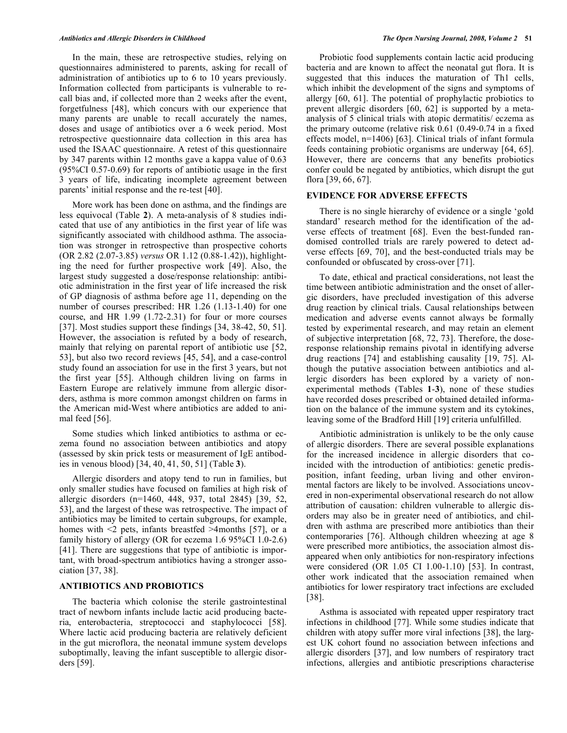In the main, these are retrospective studies, relying on questionnaires administered to parents, asking for recall of administration of antibiotics up to 6 to 10 years previously. Information collected from participants is vulnerable to recall bias and, if collected more than 2 weeks after the event, forgetfulness [48], which concurs with our experience that many parents are unable to recall accurately the names, doses and usage of antibiotics over a 6 week period. Most retrospective questionnaire data collection in this area has used the ISAAC questionnaire. A retest of this questionnaire by 347 parents within 12 months gave a kappa value of 0.63 (95%CI 0.57-0.69) for reports of antibiotic usage in the first 3 years of life, indicating incomplete agreement between parents' initial response and the re-test [40].

 More work has been done on asthma, and the findings are less equivocal (Table **2**). A meta-analysis of 8 studies indicated that use of any antibiotics in the first year of life was significantly associated with childhood asthma. The association was stronger in retrospective than prospective cohorts (OR 2.82 (2.07-3.85) *versus* OR 1.12 (0.88-1.42)), highlighting the need for further prospective work [49]. Also, the largest study suggested a dose/response relationship: antibiotic administration in the first year of life increased the risk of GP diagnosis of asthma before age 11, depending on the number of courses prescribed: HR 1.26 (1.13-1.40) for one course, and HR 1.99 (1.72-2.31) for four or more courses [37]. Most studies support these findings [34, 38-42, 50, 51]. However, the association is refuted by a body of research, mainly that relying on parental report of antibiotic use [52, 53], but also two record reviews [45, 54], and a case-control study found an association for use in the first 3 years, but not the first year [55]. Although children living on farms in Eastern Europe are relatively immune from allergic disorders, asthma is more common amongst children on farms in the American mid-West where antibiotics are added to animal feed [56].

 Some studies which linked antibiotics to asthma or eczema found no association between antibiotics and atopy (assessed by skin prick tests or measurement of IgE antibodies in venous blood) [34, 40, 41, 50, 51] (Table **3**).

 Allergic disorders and atopy tend to run in families, but only smaller studies have focused on families at high risk of allergic disorders (n=1460, 448, 937, total 2845) [39, 52, 53], and the largest of these was retrospective. The impact of antibiotics may be limited to certain subgroups, for example, homes with  $\leq$  pets, infants breastfed  $\geq$ 4months [57], or a family history of allergy (OR for eczema 1.6 95%CI 1.0-2.6) [41]. There are suggestions that type of antibiotic is important, with broad-spectrum antibiotics having a stronger association [37, 38].

#### **ANTIBIOTICS AND PROBIOTICS**

 The bacteria which colonise the sterile gastrointestinal tract of newborn infants include lactic acid producing bacteria, enterobacteria, streptococci and staphylococci [58]. Where lactic acid producing bacteria are relatively deficient in the gut microflora, the neonatal immune system develops suboptimally, leaving the infant susceptible to allergic disorders [59].

 Probiotic food supplements contain lactic acid producing bacteria and are known to affect the neonatal gut flora. It is suggested that this induces the maturation of Th1 cells, which inhibit the development of the signs and symptoms of allergy [60, 61]. The potential of prophylactic probiotics to prevent allergic disorders [60, 62] is supported by a metaanalysis of 5 clinical trials with atopic dermatitis/ eczema as the primary outcome (relative risk 0.61 (0.49-0.74 in a fixed effects model, n=1406) [63]. Clinical trials of infant formula feeds containing probiotic organisms are underway [64, 65]. However, there are concerns that any benefits probiotics confer could be negated by antibiotics, which disrupt the gut flora [39, 66, 67].

#### **EVIDENCE FOR ADVERSE EFFECTS**

 There is no single hierarchy of evidence or a single 'gold standard' research method for the identification of the adverse effects of treatment [68]. Even the best-funded randomised controlled trials are rarely powered to detect adverse effects [69, 70], and the best-conducted trials may be confounded or obfuscated by cross-over [71].

 To date, ethical and practical considerations, not least the time between antibiotic administration and the onset of allergic disorders, have precluded investigation of this adverse drug reaction by clinical trials. Causal relationships between medication and adverse events cannot always be formally tested by experimental research, and may retain an element of subjective interpretation [68, 72, 73]. Therefore, the doseresponse relationship remains pivotal in identifying adverse drug reactions [74] and establishing causality [19, 75]. Although the putative association between antibiotics and allergic disorders has been explored by a variety of nonexperimental methods (Tables **1**-**3**), none of these studies have recorded doses prescribed or obtained detailed information on the balance of the immune system and its cytokines, leaving some of the Bradford Hill [19] criteria unfulfilled.

 Antibiotic administration is unlikely to be the only cause of allergic disorders. There are several possible explanations for the increased incidence in allergic disorders that coincided with the introduction of antibiotics: genetic predisposition, infant feeding, urban living and other environmental factors are likely to be involved. Associations uncovered in non-experimental observational research do not allow attribution of causation: children vulnerable to allergic disorders may also be in greater need of antibiotics, and children with asthma are prescribed more antibiotics than their contemporaries [76]. Although children wheezing at age 8 were prescribed more antibiotics, the association almost disappeared when only antibiotics for non-respiratory infections were considered (OR 1.05 CI 1.00-1.10) [53]. In contrast, other work indicated that the association remained when antibiotics for lower respiratory tract infections are excluded [38].

 Asthma is associated with repeated upper respiratory tract infections in childhood [77]. While some studies indicate that children with atopy suffer more viral infections [38], the largest UK cohort found no association between infections and allergic disorders [37], and low numbers of respiratory tract infections, allergies and antibiotic prescriptions characterise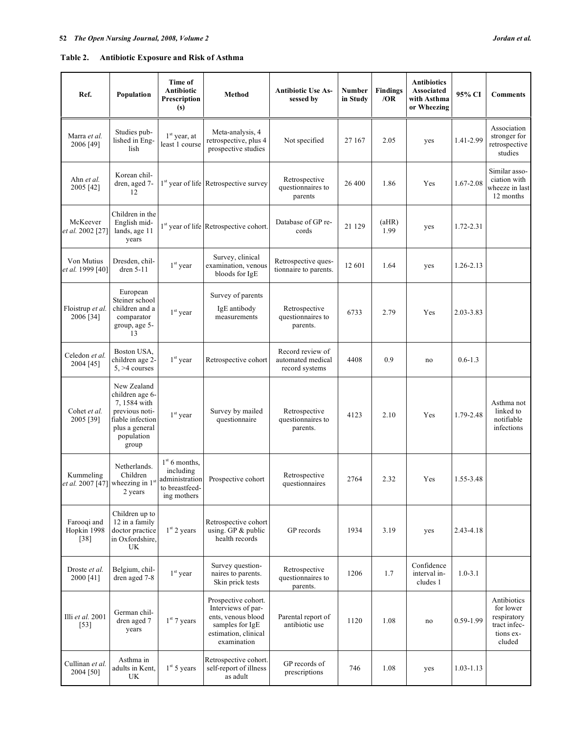| Ref.                                            | Population                                                                                                                   | Time of<br>Antibiotic<br>Prescription<br>(s)                                    | Method                                                                                                                    | <b>Antibiotic Use As-</b><br>sessed by                  | Number<br>in Study | <b>Findings</b><br>/OR | <b>Antibiotics</b><br><b>Associated</b><br>with Asthma<br>or Wheezing | 95% CI      | <b>Comments</b>                                                                |
|-------------------------------------------------|------------------------------------------------------------------------------------------------------------------------------|---------------------------------------------------------------------------------|---------------------------------------------------------------------------------------------------------------------------|---------------------------------------------------------|--------------------|------------------------|-----------------------------------------------------------------------|-------------|--------------------------------------------------------------------------------|
| Marra et al.<br>2006 [49]                       | Studies pub-<br>lished in Eng-<br>lish                                                                                       | $1st$ year, at<br>least 1 course                                                | Meta-analysis, 4<br>retrospective, plus 4<br>prospective studies                                                          | Not specified                                           | 27 167             | 2.05                   | yes                                                                   | 1.41-2.99   | Association<br>stronger for<br>retrospective<br>studies                        |
| Ahn et al.<br>2005 [42]                         | Korean chil-<br>dren, aged 7-<br>12                                                                                          |                                                                                 | 1 <sup>st</sup> year of life Retrospective survey                                                                         | Retrospective<br>questionnaires to<br>parents           | 26 400             | 1.86                   | Yes                                                                   | 1.67-2.08   | Similar asso-<br>ciation with<br>wheeze in last<br>12 months                   |
| McKeever<br>et al. 2002 [27]                    | Children in the<br>English mid-<br>lands, age 11<br>years                                                                    |                                                                                 | 1 <sup>st</sup> year of life Retrospective cohort.                                                                        | Database of GP re-<br>cords                             | 21 129             | (aHR)<br>1.99          | yes                                                                   | 1.72-2.31   |                                                                                |
| Von Mutius<br>et al. 1999 [40]                  | Dresden, chil-<br>dren 5-11                                                                                                  | $1st$ year                                                                      | Survey, clinical<br>examination, venous<br>bloods for IgE                                                                 | Retrospective ques-<br>tionnaire to parents.            | 12 601             | 1.64                   | yes                                                                   | 1.26-2.13   |                                                                                |
| Floistrup et al.<br>2006 [34]                   | European<br>Steiner school<br>children and a<br>comparator<br>group, age 5-<br>13                                            | $1st$ year                                                                      | Survey of parents<br>IgE antibody<br>measurements                                                                         | Retrospective<br>questionnaires to<br>parents.          | 6733               | 2.79                   | Yes                                                                   | 2.03-3.83   |                                                                                |
| Celedon et al.<br>2004 [45]                     | Boston USA,<br>children age 2-<br>$5, >4$ courses                                                                            | $1st$ year                                                                      | Retrospective cohort                                                                                                      | Record review of<br>automated medical<br>record systems | 4408               | 0.9                    | no                                                                    | $0.6 - 1.3$ |                                                                                |
| Cohet et al.<br>2005 [39]                       | New Zealand<br>children age 6-<br>7,1584 with<br>previous noti-<br>fiable infection<br>plus a general<br>population<br>group | $1st$ year                                                                      | Survey by mailed<br>questionnaire                                                                                         | Retrospective<br>questionnaires to<br>parents.          | 4123               | 2.10                   | Yes                                                                   | 1.79-2.48   | Asthma not<br>linked to<br>notifiable<br>infections                            |
| Kummeling<br>et al. 2007 [47] wheezing in $1st$ | Netherlands.<br>Children<br>2 years                                                                                          | $1st$ 6 months,<br>including<br>administration<br>to breastfeed-<br>ing mothers | Prospective cohort                                                                                                        | Retrospective<br>questionnaires                         | 2764               | 2.32                   | Yes                                                                   | 1.55-3.48   |                                                                                |
| Farooqi and<br>Hopkin 1998<br>$[38]$            | Children up to<br>12 in a family<br>doctor practice<br>in Oxfordshire,<br>UK                                                 | $1st$ 2 years                                                                   | Retrospective cohort<br>using. GP $&$ public<br>health records                                                            | GP records                                              | 1934               | 3.19                   | yes                                                                   | 2.43-4.18   |                                                                                |
| Droste et al.<br>2000 [41]                      | Belgium, chil-<br>dren aged 7-8                                                                                              | $1^\mathrm{st}$ year                                                            | Survey question-<br>naires to parents.<br>Skin prick tests                                                                | Retrospective<br>questionnaires to<br>parents.          | 1206               | 1.7                    | Confidence<br>interval in-<br>cludes 1                                | $1.0 - 3.1$ |                                                                                |
| Illi et al. 2001<br>$[53]$                      | German chil-<br>dren aged 7<br>years                                                                                         | $1st$ 7 years                                                                   | Prospective cohort.<br>Interviews of par-<br>ents, venous blood<br>samples for IgE<br>estimation, clinical<br>examination | Parental report of<br>antibiotic use                    | 1120               | 1.08                   | no                                                                    | 0.59-1.99   | Antibiotics<br>for lower<br>respiratory<br>tract infec-<br>tions ex-<br>cluded |
| Cullinan et al.<br>2004 [50]                    | Asthma in<br>adults in Kent,<br>UK                                                                                           | $1st$ 5 years                                                                   | Retrospective cohort.<br>self-report of illness<br>as adult                                                               | GP records of<br>prescriptions                          | 746                | 1.08                   | yes                                                                   | 1.03-1.13   |                                                                                |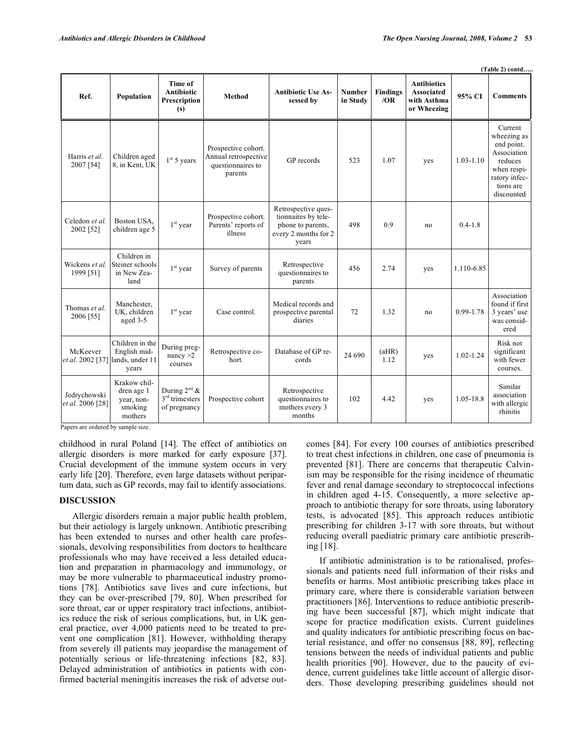|                                                     |                                                                |                                                       |                                                                             |                                                                                                  |                           |                        |                                                                       |               | (Table 2) contd                                                                                                           |
|-----------------------------------------------------|----------------------------------------------------------------|-------------------------------------------------------|-----------------------------------------------------------------------------|--------------------------------------------------------------------------------------------------|---------------------------|------------------------|-----------------------------------------------------------------------|---------------|---------------------------------------------------------------------------------------------------------------------------|
| Ref.                                                | Population                                                     | Time of<br><b>Antibiotic</b><br>Prescription<br>(s)   | <b>Method</b>                                                               | <b>Antibiotic Use As-</b><br>sessed by                                                           | <b>Number</b><br>in Study | <b>Findings</b><br>/OR | <b>Antibiotics</b><br><b>Associated</b><br>with Asthma<br>or Wheezing | 95% CI        | <b>Comments</b>                                                                                                           |
| Harris et al.<br>2007 [54]                          | Children aged<br>8, in Kent, UK                                | 1 <sup>st</sup> 5 years                               | Prospective cohort.<br>Annual retrospective<br>questionnaires to<br>parents | GP records                                                                                       | 523                       | 1.07                   | yes                                                                   | $1.03 - 1.10$ | Current<br>wheezing as<br>end point.<br>Association<br>reduces<br>when respi-<br>ratory infec-<br>tions are<br>discounted |
| Celedon et al.<br>2002 [52]                         | Boston USA,<br>children age 5                                  | $1st$ year                                            | Prospective cohort.<br>Parents' reports of<br>illness                       | Retrospective ques-<br>tionnaires by tele-<br>phone to parents,<br>every 2 months for 2<br>years | 498                       | 0.9                    | no                                                                    | $0.4 - 1.8$   |                                                                                                                           |
| Wickens et al.<br>1999 [51]                         | Children in<br>Steiner schools<br>in New Zea-<br>land          | $1st$ year                                            | Survey of parents                                                           | Retrospective<br>questionnaires to<br>parents                                                    | 456                       | 2.74                   | yes                                                                   | 1.110-6.85    |                                                                                                                           |
| Thomas et al.<br>2006 [55]                          | Manchester,<br>UK, children<br>aged 3-5                        | $1st$ year                                            | Case control.                                                               | Medical records and<br>prospective parental<br>diaries                                           | 72                        | 1.32                   | no                                                                    | 0.99-1.78     | Association<br>found if first<br>3 years' use<br>was consid-<br>ered                                                      |
| McKeever<br><i>et al.</i> 2002 [37] lands, under 11 | Children in the<br>English mid-<br>years                       | During preg-<br>nancy $>2$<br>courses                 | Retrospective co-<br>hort.                                                  | Database of GP re-<br>cords                                                                      | 24 690                    | (aHR)<br>1.12          | yes                                                                   | $1.02 - 1.24$ | Risk not<br>significant<br>with fewer<br>courses.                                                                         |
| Jedrychowski<br>et al. 2006 [28]                    | Krakow chil-<br>dren age 1<br>vear, non-<br>smoking<br>mothers | During $2^{nd}$ &<br>$3rd$ trimesters<br>of pregnancy | Prospective cohort                                                          | Retrospective<br>questionnaires to<br>mothers every 3<br>months                                  | 102                       | 4.42                   | yes                                                                   | 1.05-18.8     | Similar<br>association<br>with allergic<br>rhinitis                                                                       |

Papers are ordered by sample size.

childhood in rural Poland [14]. The effect of antibiotics on allergic disorders is more marked for early exposure [37]. Crucial development of the immune system occurs in very early life [20]. Therefore, even large datasets without peripartum data, such as GP records, may fail to identify associations.

#### **DISCUSSION**

 Allergic disorders remain a major public health problem, but their aetiology is largely unknown. Antibiotic prescribing has been extended to nurses and other health care professionals, devolving responsibilities from doctors to healthcare professionals who may have received a less detailed education and preparation in pharmacology and immunology, or may be more vulnerable to pharmaceutical industry promotions [78]. Antibiotics save lives and cure infections, but they can be over-prescribed [79, 80]. When prescribed for sore throat, ear or upper respiratory tract infections, antibiotics reduce the risk of serious complications, but, in UK general practice, over 4,000 patients need to be treated to prevent one complication [81]. However, withholding therapy from severely ill patients may jeopardise the management of potentially serious or life-threatening infections [82, 83]. Delayed administration of antibiotics in patients with confirmed bacterial meningitis increases the risk of adverse outcomes [84]. For every 100 courses of antibiotics prescribed to treat chest infections in children, one case of pneumonia is prevented [81]. There are concerns that therapeutic Calvinism may be responsible for the rising incidence of rheumatic fever and renal damage secondary to streptococcal infections in children aged 4-15. Consequently, a more selective approach to antibiotic therapy for sore throats, using laboratory tests, is advocated [85]. This approach reduces antibiotic prescribing for children 3-17 with sore throats, but without reducing overall paediatric primary care antibiotic prescribing [18].

 If antibiotic administration is to be rationalised, professionals and patients need full information of their risks and benefits or harms. Most antibiotic prescribing takes place in primary care, where there is considerable variation between practitioners [86]. Interventions to reduce antibiotic prescribing have been successful [87], which might indicate that scope for practice modification exists. Current guidelines and quality indicators for antibiotic prescribing focus on bacterial resistance, and offer no consensus [88, 89], reflecting tensions between the needs of individual patients and public health priorities [90]. However, due to the paucity of evidence, current guidelines take little account of allergic disorders. Those developing prescribing guidelines should not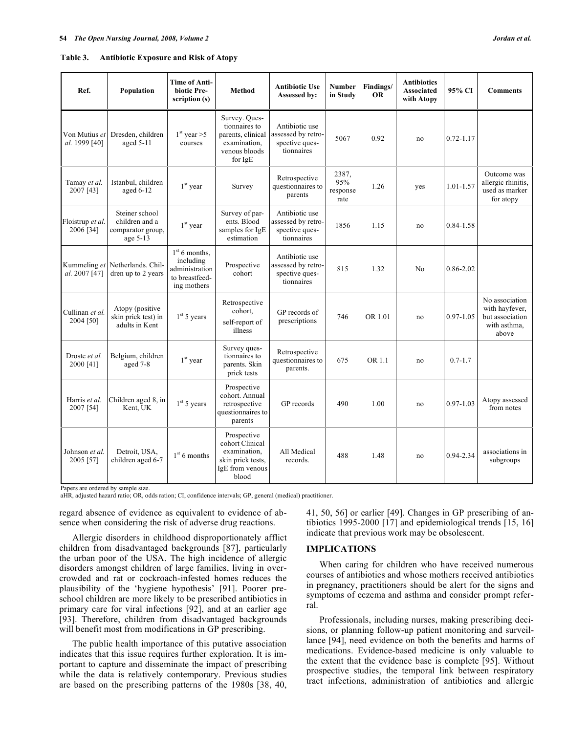| Table 3. | <b>Antibiotic Exposure and Risk of Atopy</b> |
|----------|----------------------------------------------|
|          |                                              |

| Ref.                                | Population                                                        | <b>Time of Anti-</b><br>biotic Pre-<br>scription (s)                            | Method                                                                                          | <b>Antibiotic Use</b><br>Assessed by:                                | <b>Number</b><br>in Study        | Findings/<br><b>OR</b> | <b>Antibiotics</b><br><b>Associated</b><br>with Atopy | 95% CI        | <b>Comments</b>                                                              |
|-------------------------------------|-------------------------------------------------------------------|---------------------------------------------------------------------------------|-------------------------------------------------------------------------------------------------|----------------------------------------------------------------------|----------------------------------|------------------------|-------------------------------------------------------|---------------|------------------------------------------------------------------------------|
| Von Mutius et<br>al. 1999 [40]      | Dresden, children<br>aged $5-11$                                  | $1st$ year >5<br>courses                                                        | Survey. Ques-<br>tionnaires to<br>parents, clinical<br>examination,<br>venous bloods<br>for IgE | Antibiotic use<br>assessed by retro-<br>spective ques-<br>tionnaires | 5067                             | 0.92                   | no                                                    | $0.72 - 1.17$ |                                                                              |
| Tamay et al.<br>2007 [43]           | Istanbul, children<br>aged $6-12$                                 | $1st$ year                                                                      | Survey                                                                                          | Retrospective<br>questionnaires to<br>parents                        | 2387,<br>95%<br>response<br>rate | 1.26                   | yes                                                   | $1.01 - 1.57$ | Outcome was<br>allergic rhinitis,<br>used as marker<br>for atopy             |
| Floistrup et al.<br>2006 [34]       | Steiner school<br>children and a<br>comparator group,<br>age 5-13 | $1st$ year                                                                      | Survey of par-<br>ents. Blood<br>samples for IgE<br>estimation                                  | Antibiotic use<br>assessed by retro-<br>spective ques-<br>tionnaires | 1856                             | 1.15                   | no                                                    | 0.84-1.58     |                                                                              |
| al. 2007 [47]                       | Kummeling et Netherlands. Chil-<br>dren up to 2 years             | $1st$ 6 months,<br>including<br>administration<br>to breastfeed-<br>ing mothers | Prospective<br>cohort                                                                           | Antibiotic use<br>assessed by retro-<br>spective ques-<br>tionnaires | 815                              | 1.32                   | No                                                    | $0.86 - 2.02$ |                                                                              |
| Cullinan et al.<br>2004 [50]        | Atopy (positive<br>skin prick test) in<br>adults in Kent          | 1 <sup>st</sup> 5 years                                                         | Retrospective<br>cohort,<br>self-report of<br>illness                                           | GP records of<br>prescriptions                                       | 746                              | OR 1.01                | no                                                    | $0.97 - 1.05$ | No association<br>with hayfever,<br>but association<br>with asthma,<br>above |
| Droste et al.<br>2000 [41]          | Belgium, children<br>aged 7-8                                     | $1st$ year                                                                      | Survey ques-<br>tionnaires to<br>parents. Skin<br>prick tests                                   | Retrospective<br>questionnaires to<br>parents.                       | 675                              | OR 1.1                 | no                                                    | $0.7 - 1.7$   |                                                                              |
| Harris et al.<br>2007 [54]          | Children aged 8, in<br>Kent, UK                                   | $1st$ 5 years                                                                   | Prospective<br>cohort. Annual<br>retrospective<br>questionnaires to<br>parents                  | GP records                                                           | 490                              | 1.00                   | no                                                    | $0.97 - 1.03$ | Atopy assessed<br>from notes                                                 |
| Johnson <i>et al</i> .<br>2005 [57] | Detroit, USA,<br>children aged 6-7                                | $1st$ 6 months                                                                  | Prospective<br>cohort Clinical<br>examination,<br>skin prick tests,                             | All Medical<br>records.                                              | 488                              | 1.48                   | no                                                    | 0.94-2.34     | associations in<br>subgroups                                                 |

Papers are ordered by sample size.

aHR, adjusted hazard ratio; OR, odds ration; CI, confidence intervals; GP, general (medical) practitioner.

skin prick tests, IgE from venous blood

regard absence of evidence as equivalent to evidence of absence when considering the risk of adverse drug reactions.

 Allergic disorders in childhood disproportionately afflict children from disadvantaged backgrounds [87], particularly the urban poor of the USA. The high incidence of allergic disorders amongst children of large families, living in overcrowded and rat or cockroach-infested homes reduces the plausibility of the 'hygiene hypothesis' [91]. Poorer preschool children are more likely to be prescribed antibiotics in primary care for viral infections [92], and at an earlier age [93]. Therefore, children from disadvantaged backgrounds will benefit most from modifications in GP prescribing.

 The public health importance of this putative association indicates that this issue requires further exploration. It is important to capture and disseminate the impact of prescribing while the data is relatively contemporary. Previous studies are based on the prescribing patterns of the 1980s [38, 40, 41, 50, 56] or earlier [49]. Changes in GP prescribing of antibiotics 1995-2000 [17] and epidemiological trends [15, 16] indicate that previous work may be obsolescent.

#### **IMPLICATIONS**

 When caring for children who have received numerous courses of antibiotics and whose mothers received antibiotics in pregnancy, practitioners should be alert for the signs and symptoms of eczema and asthma and consider prompt referral.

 Professionals, including nurses, making prescribing decisions, or planning follow-up patient monitoring and surveillance [94], need evidence on both the benefits and harms of medications. Evidence-based medicine is only valuable to the extent that the evidence base is complete [95]. Without prospective studies, the temporal link between respiratory tract infections, administration of antibiotics and allergic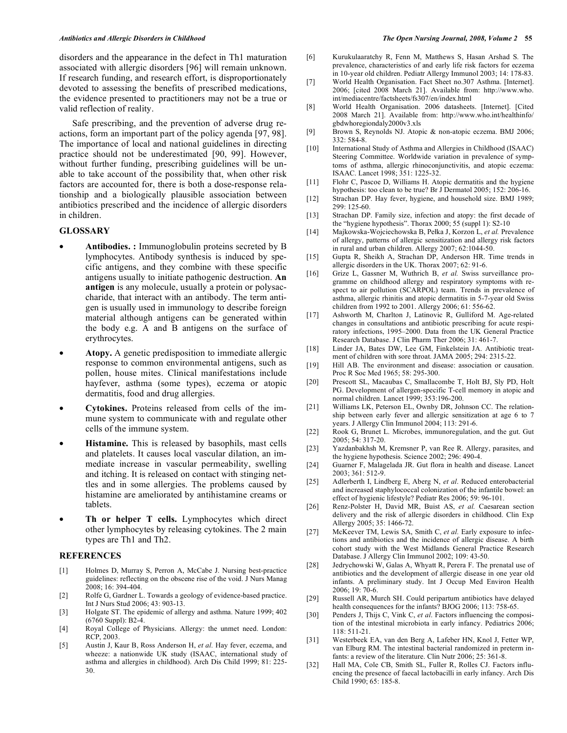disorders and the appearance in the defect in Th1 maturation associated with allergic disorders [96] will remain unknown. If research funding, and research effort, is disproportionately devoted to assessing the benefits of prescribed medications, the evidence presented to practitioners may not be a true or valid reflection of reality.

 Safe prescribing, and the prevention of adverse drug reactions, form an important part of the policy agenda [97, 98]. The importance of local and national guidelines in directing practice should not be underestimated [90, 99]. However, without further funding, prescribing guidelines will be unable to take account of the possibility that, when other risk factors are accounted for, there is both a dose-response relationship and a biologically plausible association between antibiotics prescribed and the incidence of allergic disorders in children.

### **GLOSSARY**

- **Antibodies. :** Immunoglobulin proteins secreted by B lymphocytes. Antibody synthesis is induced by specific antigens, and they combine with these specific antigens usually to initiate pathogenic destruction. **An antigen** is any molecule, usually a protein or polysaccharide, that interact with an antibody. The term antigen is usually used in immunology to describe foreign material although antigens can be generated within the body e.g. A and B antigens on the surface of erythrocytes.
- **Atopy.** A genetic predisposition to immediate allergic response to common environmental antigens, such as pollen, house mites. Clinical manifestations include hayfever, asthma (some types), eczema or atopic dermatitis, food and drug allergies.
- **Cytokines.** Proteins released from cells of the immune system to communicate with and regulate other cells of the immune system.
- **Histamine.** This is released by basophils, mast cells and platelets. It causes local vascular dilation, an immediate increase in vascular permeability, swelling and itching. It is released on contact with stinging nettles and in some allergies. The problems caused by histamine are ameliorated by antihistamine creams or tablets.
- Th or helper T cells. Lymphocytes which direct other lymphocytes by releasing cytokines. The 2 main types are Th1 and Th2.

#### **REFERENCES**

- [1] Holmes D, Murray S, Perron A, McCabe J. Nursing best-practice guidelines: reflecting on the obscene rise of the void. J Nurs Manag 2008; 16: 394-404.
- [2] Rolfe G, Gardner L. Towards a geology of evidence-based practice. Int J Nurs Stud 2006; 43: 903-13.
- [3] Holgate ST. The epidemic of allergy and asthma. Nature 1999; 402 (6760 Suppl): B2-4.
- [4] Royal College of Physicians. Allergy: the unmet need. London: RCP, 2003.
- [5] Austin J, Kaur B, Ross Anderson H, *et al.* Hay fever, eczema, and wheeze: a nationwide UK study (ISAAC, international study of asthma and allergies in childhood). Arch Dis Child 1999; 81: 225- 30.
- [6] Kurukulaaratchy R, Fenn M, Matthews S, Hasan Arshad S. The prevalence, characteristics of and early life risk factors for eczema in 10-year old children. Pediatr Allergy Immunol 2003; 14: 178-83.
- [7] World Health Organisation. Fact Sheet no.307 Asthma. [Internet]. 2006; [cited 2008 March 21]. Available from: http://www.who. int/mediacentre/factsheets/fs307/en/index.html
- [8] World Health Organisation. 2006 datasheets. [Internet]. [Cited 2008 March 21]. Available from: http://www.who.int/healthinfo/ gbdwhoregiondaly2000v3.xls
- [9] Brown S, Reynolds NJ. Atopic & non-atopic eczema. BMJ 2006; 332: 584-8.
- [10] International Study of Asthma and Allergies in Childhood (ISAAC) Steering Committee. Worldwide variation in prevalence of symptoms of asthma, allergic rhinoconjunctivitis, and atopic eczema: ISAAC. Lancet 1998; 351: 1225-32.
- [11] Flohr C, Pascoe D, Williams H. Atopic dermatitis and the hygiene hypothesis: too clean to be true? Br J Dermatol 2005; 152: 206-16.
- [12] Strachan DP. Hay fever, hygiene, and household size. BMJ 1989; 299: 125-60.
- [13] Strachan DP. Family size, infection and atopy: the first decade of the "hygiene hypothesis". Thorax 2000; 55 (suppl 1): S2-10
- [14] Majkowska-Wojciechowska B, Peka J, Korzon L, *et al.* Prevalence of allergy, patterns of allergic sensitization and allergy risk factors in rural and urban children. Allergy 2007; 62:1044-50.
- [15] Gupta R, Sheikh A, Strachan DP, Anderson HR. Time trends in allergic disorders in the UK. Thorax 2007; 62: 91-6.
- [16] Grize L, Gassner M, Wuthrich B, *et al.* Swiss surveillance programme on childhood allergy and respiratory symptoms with respect to air pollution (SCARPOL) team. Trends in prevalence of asthma, allergic rhinitis and atopic dermatitis in 5-7-year old Swiss children from 1992 to 2001. Allergy 2006; 61: 556-62.
- [17] Ashworth M, Charlton J, Latinovic R, Gulliford M. Age-related changes in consultations and antibiotic prescribing for acute respiratory infections, 1995–2000. Data from the UK General Practice Research Database. J Clin Pharm Ther 2006; 31: 461-7.
- [18] Linder JA, Bates DW, Lee GM, Finkelstein JA. Antibiotic treatment of children with sore throat. JAMA 2005; 294: 2315-22.
- [19] Hill AB. The environment and disease: association or causation. Proc R Soc Med 1965; 58: 295-300.
- [20] Prescott SL, Macaubas C, Smallacombe T, Holt BJ, Sly PD, Holt PG. Development of allergen-specific T-cell memory in atopic and normal children. Lancet 1999; 353:196-200.
- [21] Williams LK, Peterson EL, Ownby DR, Johnson CC. The relationship between early fever and allergic sensitization at age 6 to 7 years. J Allergy Clin Immunol 2004; 113: 291-6.
- [22] Rook G, Brunet L. Microbes, immunoregulation, and the gut. Gut 2005; 54: 317-20.
- [23] Yazdanbakhsh M, Kremsner P, van Ree R. Allergy, parasites, and the hygiene hypothesis. Science 2002; 296: 490-4.
- [24] Guarner F, Malagelada JR. Gut flora in health and disease. Lancet 2003; 361: 512-9.
- [25] Adlerberth I, Lindberg E, Aberg N, *et al*. Reduced enterobacterial and increased staphylococcal colonization of the infantile bowel: an effect of hygienic lifestyle? Pediatr Res 2006; 59: 96-101.
- [26] Renz-Polster H, David MR, Buist AS, *et al.* Caesarean section delivery and the risk of allergic disorders in childhood. Clin Exp Allergy 2005; 35: 1466-72.
- [27] McKeever TM, Lewis SA, Smith C, *et al.* Early exposure to infections and antibiotics and the incidence of allergic disease. A birth cohort study with the West Midlands General Practice Research Database. J Allergy Clin Immunol 2002; 109: 43-50.
- [28] Jedrychowski W, Galas A, Whyatt R, Perera F. The prenatal use of antibiotics and the development of allergic disease in one year old infants. A preliminary study. Int J Occup Med Environ Health 2006; 19: 70-6.
- [29] Russell AR, Murch SH. Could peripartum antibiotics have delayed health consequences for the infants? BJOG 2006; 113: 758-65.
- [30] Penders J, Thijs C, Vink C, *et al*. Factors influencing the composition of the intestinal microbiota in early infancy. Pediatrics 2006; 118: 511-21.
- [31] Westerbeek EA, van den Berg A, Lafeber HN, Knol J, Fetter WP, van Elburg RM. The intestinal bacterial randomized in preterm infants: a review of the literature. Clin Nutr 2006; 25: 361-8.
- [32] Hall MA, Cole CB, Smith SL, Fuller R, Rolles CJ. Factors influencing the presence of faecal lactobacilli in early infancy. Arch Dis Child 1990; 65: 185-8.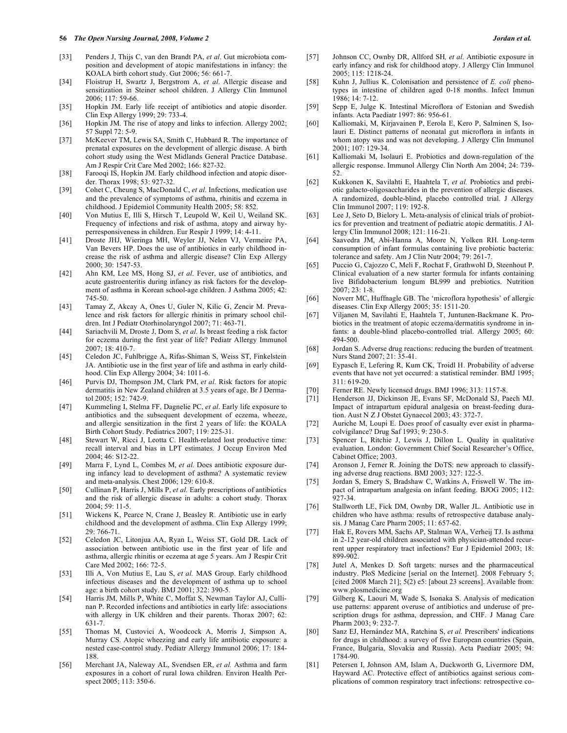#### **56** *The Open Nursing Journal, 2008, Volume 2 Jordan et al.*

- [33] Penders J, Thijs C, van den Brandt PA, *et al*. Gut microbiota composition and development of atopic manifestations in infancy: the KOALA birth cohort study. Gut 2006; 56: 661-7.
- [34] Floistrup H, Swartz J, Bergstrom A, *et al*. Allergic disease and sensitization in Steiner school children. J Allergy Clin Immunol 2006; 117: 59-66.
- [35] Hopkin JM. Early life receipt of antibiotics and atopic disorder. Clin Exp Allergy 1999; 29: 733-4.
- [36] Hopkin JM. The rise of atopy and links to infection. Allergy 2002; 57 Suppl 72: 5-9.
- [37] McKeever TM, Lewis SA, Smith C, Hubbard R. The importance of prenatal exposures on the development of allergic disease. A birth cohort study using the West Midlands General Practice Database. Am J Respir Crit Care Med 2002; 166: 827-32.
- [38] Farooqi IS, Hopkin JM. Early childhood infection and atopic disorder. Thorax 1998; 53: 927-32.
- [39] Cohet C, Cheung S, MacDonald C, *et al*. Infections, medication use and the prevalence of symptoms of asthma, rhinitis and eczema in childhood. J Epidemiol Community Health 2005; 58: 852.
- [40] Von Mutius E, Illi S, Hirsch T, Leupold W, Keil U, Weiland SK. Frequency of infections and risk of asthma, atopy and airway hyperresponsiveness in children. Eur Respir J 1999; 14: 4-11.
- [41] Droste JHJ, Wieringa MH, Weyler JJ, Nelen VJ, Vermeire PA, Van Bevers HP. Does the use of antibiotics in early childhood increase the risk of asthma and allergic disease? Clin Exp Allergy 2000; 30: 1547-53.
- [42] Ahn KM, Lee MS, Hong SJ, *et al*. Fever, use of antibiotics, and acute gastroenteritis during infancy as risk factors for the development of asthma in Korean school-age children. J Asthma 2005; 42: 745-50.
- [43] Tamay Z, Akcay A, Ones U, Guler N, Kilic G, Zencir M. Prevalence and risk factors for allergic rhinitis in primary school children. Int J Pediatr Otorhinolaryngol 2007; 71: 463-71.
- [44] Sariachvili M, Droste J, Dom S, *et al*. Is breast feeding a risk factor for eczema during the first year of life? Pediatr Allergy Immunol 2007; 18: 410-7.
- [45] Celedon JC, Fuhlbrigge A, Rifas-Shiman S, Weiss ST, Finkelstein JA. Antibiotic use in the first year of life and asthma in early childhood. Clin Exp Allergy 2004; 34: 1011-6.
- [46] Purvis DJ, Thompson JM, Clark PM, *et al.* Risk factors for atopic dermatitis in New Zealand children at 3.5 years of age. Br J Dermatol 2005; 152: 742-9.
- [47] Kummeling I, Stelma FF, Dagnelie PC, *et al*. Early life exposure to antibiotics and the subsequent development of eczema, wheeze, and allergic sensitization in the first 2 years of life: the KOALA Birth Cohort Study. Pediatrics 2007; 119: 225-31.
- [48] Stewart W, Ricci J, Leotta C. Health-related lost productive time: recall interval and bias in LPT estimates. J Occup Environ Med 2004; 46: S12-22.
- [49] Marra F, Lynd L, Combes M, *et al.* Does antibiotic exposure during infancy lead to development of asthma? A systematic review and meta-analysis. Chest 2006; 129: 610-8.
- [50] Cullinan P, Harris J, Mills P, *et al.* Early prescriptions of antibiotics and the risk of allergic disease in adults: a cohort study. Thorax 2004; 59: 11-5.
- [51] Wickens K, Pearce N, Crane J, Beasley R. Antibiotic use in early childhood and the development of asthma. Clin Exp Allergy 1999; 29: 766-71.
- [52] Celedon JC, Litonjua AA, Ryan L, Weiss ST, Gold DR. Lack of association between antibiotic use in the first year of life and asthma, allergic rhinitis or eczema at age 5 years. Am J Respir Crit Care Med 2002; 166: 72-5.
- [53] Illi A, Von Mutius E, Lau S, *et al.* MAS Group. Early childhood infectious diseases and the development of asthma up to school age: a birth cohort study. BMJ 2001; 322: 390-5.
- [54] Harris JM, Mills P, White C, Moffat S, Newman Taylor AJ, Cullinan P. Recorded infections and antibiotics in early life: associations with allergy in UK children and their parents. Thorax 2007; 62: 631-7.
- [55] Thomas M, Custovici A, Woodcock A, Morris J, Simpson A, Murray CS. Atopic wheezing and early life antibiotic exposure: a nested case-control study. Pediatr Allergy Immunol 2006; 17: 184- 188.
- [56] Merchant JA, Naleway AL, Svendsen ER, *et al.* Asthma and farm exposures in a cohort of rural Iowa children. Environ Health Perspect 2005; 113: 350-6.
- [57] Johnson CC, Ownby DR, Allford SH*, et al.* Antibiotic exposure in early infancy and risk for childhood atopy. J Allergy Clin Immunol 2005; 115: 1218-24.
- [58] Kuhn J, Jullius K. Colonisation and persistence of *E. coli* phenotypes in intestine of children aged 0-18 months. Infect Immun 1986; 14: 7-12.
- [59] Sepp E, Julge K. Intestinal Microflora of Estonian and Swedish infants. Acta Paediatr 1997: 86: 956-61.
- [60] Kalliomaki, M, Kirjavainen P, Eerola E, Kero P, Salminen S, Isolauri E. Distinct patterns of neonatal gut microflora in infants in whom atopy was and was not developing. J Allergy Clin Immunol 2001; 107: 129-34.
- [61] Kalliomaki M, Isolauri E. Probiotics and down-regulation of the allergic response. Immunol Allergy Clin North Am 2004; 24: 739- 52.
- [62] Kukkonen K, Savilahti E, Haahtela T, *et al.* Probiotics and prebiotic galacto-oligosaccharides in the prevention of allergic diseases. A randomized, double-blind, placebo controlled trial. J Allergy Clin Immunol 2007; 119: 192-8.
- [63] Lee J, Seto D, Bielory L. Meta-analysis of clinical trials of probiotics for prevention and treatment of pediatric atopic dermatitis. J Allergy Clin Immunol 2008; 121: 116-21.
- [64] Saavedra JM, Abi-Hanna A, Moore N, Yolken RH. Long-term consumption of infant formulas containing live probiotic bacteria: tolerance and safety. Am J Clin Nutr 2004; 79: 261-7.
- [65] Puccio G, Cajozzo C, Meli F, Rochat F, Grathwohl D, Steenhout P. Clinical evaluation of a new starter formula for infants containing live Bifidobacterium longum BL999 and prebiotics. Nutrition 2007; 23: 1-8.
- [66] Noverr MC, Huffnagle GB. The 'microflora hypothesis' of allergic diseases. Clin Exp Allergy 2005; 35: 1511-20.
- [67] Viljanen M, Savilahti E, Haahtela T, Juntunen-Backmane K. Probiotics in the treatment of atopic eczema/dermatitis syndrome in infants: a double-blind placebo-controlled trial. Allergy 2005; 60: 494-500.
- [68] Jordan S. Adverse drug reactions: reducing the burden of treatment*.*  Nurs Stand 2007; 21: 35-41.
- [69] Eypasch E, Lefering R, Kum CK, Troidl H. Probability of adverse events that have not yet occurred: a statistical reminder. BMJ 1995; 311: 619-20.
- [70] Ferner RE. Newly licensed drugs. BMJ 1996; 313: 1157-8.
- [71] Henderson JJ, Dickinson JE, Evans SF, McDonald SJ, Paech MJ. Impact of intrapartum epidural analgesia on breast-feeding duration. Aust N Z J Obstet Gynaecol 2003; 43: 372-7.
- [72] Auriche M, Loupi E. Does proof of casualty ever exist in pharmacolvigilance? Drug Saf 1993; 9: 230-5.
- [73] Spencer L, Ritchie J, Lewis J, Dillon L. Quality in qualitative evaluation*.* London: Government Chief Social Researcher's Office, Cabinet Office; 2003.
- [74] Aronson J, Ferner R. Joining the DoTS: new approach to classifying adverse drug reactions. BMJ 2003; 327: 122-5.
- [75] Jordan S, Emery S, Bradshaw C, Watkins A, Friswell W. The impact of intrapartum analgesia on infant feeding. BJOG 2005; 112: 927-34.
- [76] Stallworth LE, Fick DM, Ownby DR, Waller JL. Antibiotic use in children who have asthma: results of retrospective database analysis. J Manag Care Pharm 2005; 11: 657-62.
- [77] Hak E, Rovers MM, Sachs AP, Stalman WA, Verheij TJ. Is asthma in 2-12 year-old children associated with physician-attended recurrent upper respiratory tract infections? Eur J Epidemiol 2003; 18: 899-902.
- [78] Jutel A, Menkes D. Soft targets: nurses and the pharmaceutical industry. PloS Medicine [serial on the Internet]. 2008 February 5; [cited 2008 March 21]; 5(2) e5: [about 23 screens]. Available from: www.plosmedicine.org
- [79] Gilberg K, Laouri M, Wade S, Isonaka S. Analysis of medication use patterns: apparent overuse of antibiotics and underuse of prescription drugs for asthma, depression, and CHF. J Manag Care Pharm 2003; 9: 232-7.
- [80] Sanz EJ, Hernández MA, Ratchina S, *et al.* Prescribers' indications for drugs in childhood: a survey of five European countries (Spain, France, Bulgaria, Slovakia and Russia). Acta Paediatr 2005; 94: 1784-90.
- [81] Petersen I, Johnson AM, Islam A, Duckworth G, Livermore DM, Hayward AC. Protective effect of antibiotics against serious complications of common respiratory tract infections: retrospective co-